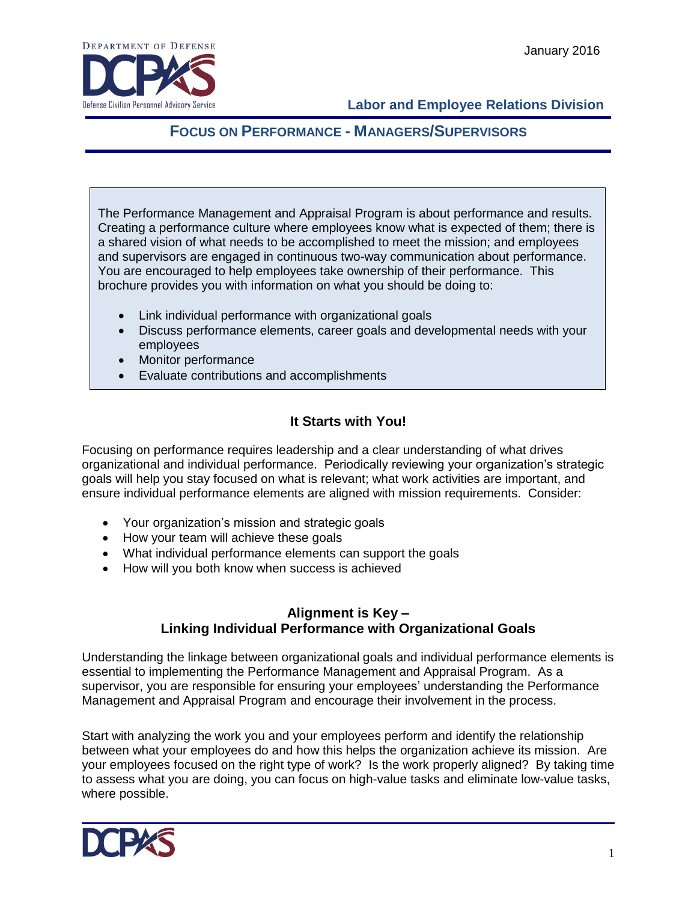

# **FOCUS ON PERFORMANCE - MANAGERS/SUPERVISORS**

The Performance Management and Appraisal Program is about performance and results. Creating a performance culture where employees know what is expected of them; there is a shared vision of what needs to be accomplished to meet the mission; and employees and supervisors are engaged in continuous two-way communication about performance. You are encouraged to help employees take ownership of their performance. This brochure provides you with information on what you should be doing to:

- Link individual performance with organizational goals
- Discuss performance elements, career goals and developmental needs with your employees
- Monitor performance
- Evaluate contributions and accomplishments

### **It Starts with You!**

Focusing on performance requires leadership and a clear understanding of what drives organizational and individual performance. Periodically reviewing your organization's strategic goals will help you stay focused on what is relevant; what work activities are important, and ensure individual performance elements are aligned with mission requirements. Consider:

- Your organization's mission and strategic goals
- How your team will achieve these goals
- What individual performance elements can support the goals
- How will you both know when success is achieved

#### **Alignment is Key – Linking Individual Performance with Organizational Goals**

Understanding the linkage between organizational goals and individual performance elements is essential to implementing the Performance Management and Appraisal Program. As a supervisor, you are responsible for ensuring your employees' understanding the Performance Management and Appraisal Program and encourage their involvement in the process.

Start with analyzing the work you and your employees perform and identify the relationship between what your employees do and how this helps the organization achieve its mission. Are your employees focused on the right type of work? Is the work properly aligned? By taking time to assess what you are doing, you can focus on high-value tasks and eliminate low-value tasks, where possible.

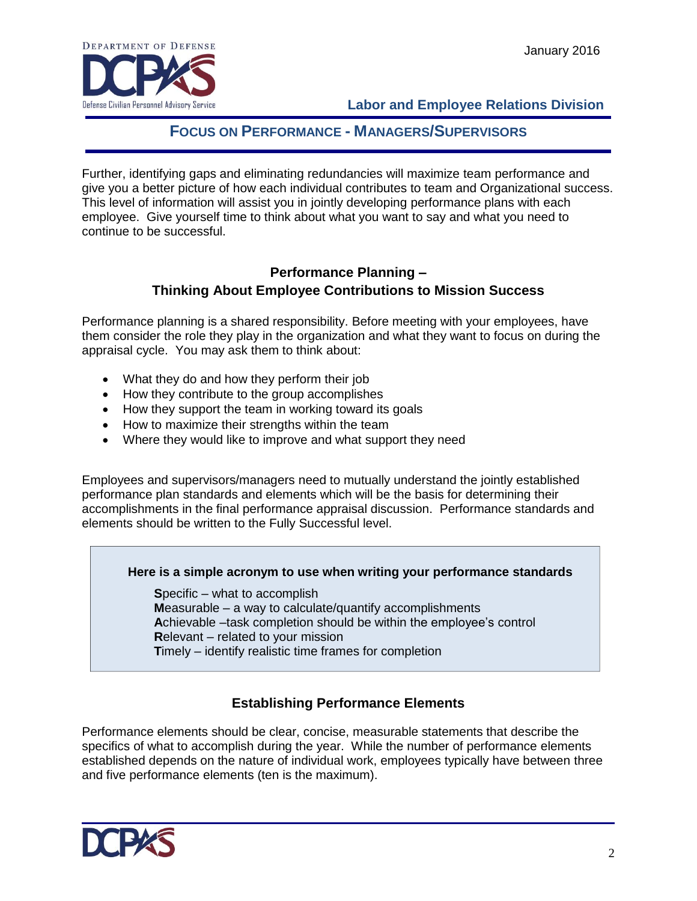

# **FOCUS ON PERFORMANCE - MANAGERS/SUPERVISORS**

Further, identifying gaps and eliminating redundancies will maximize team performance and give you a better picture of how each individual contributes to team and Organizational success. This level of information will assist you in jointly developing performance plans with each employee. Give yourself time to think about what you want to say and what you need to continue to be successful.

### **Performance Planning – Thinking About Employee Contributions to Mission Success**

Performance planning is a shared responsibility. Before meeting with your employees, have them consider the role they play in the organization and what they want to focus on during the appraisal cycle. You may ask them to think about:

- What they do and how they perform their job
- How they contribute to the group accomplishes
- How they support the team in working toward its goals
- How to maximize their strengths within the team
- Where they would like to improve and what support they need

Employees and supervisors/managers need to mutually understand the jointly established performance plan standards and elements which will be the basis for determining their accomplishments in the final performance appraisal discussion. Performance standards and elements should be written to the Fully Successful level.

#### **Here is a simple acronym to use when writing your performance standards**

**S**pecific – what to accomplish **M**easurable – a way to calculate/quantify accomplishments **A**chievable –task completion should be within the employee's control **R**elevant – related to your mission **T**imely – identify realistic time frames for completion

# **Establishing Performance Elements**

Performance elements should be clear, concise, measurable statements that describe the specifics of what to accomplish during the year. While the number of performance elements established depends on the nature of individual work, employees typically have between three and five performance elements (ten is the maximum).

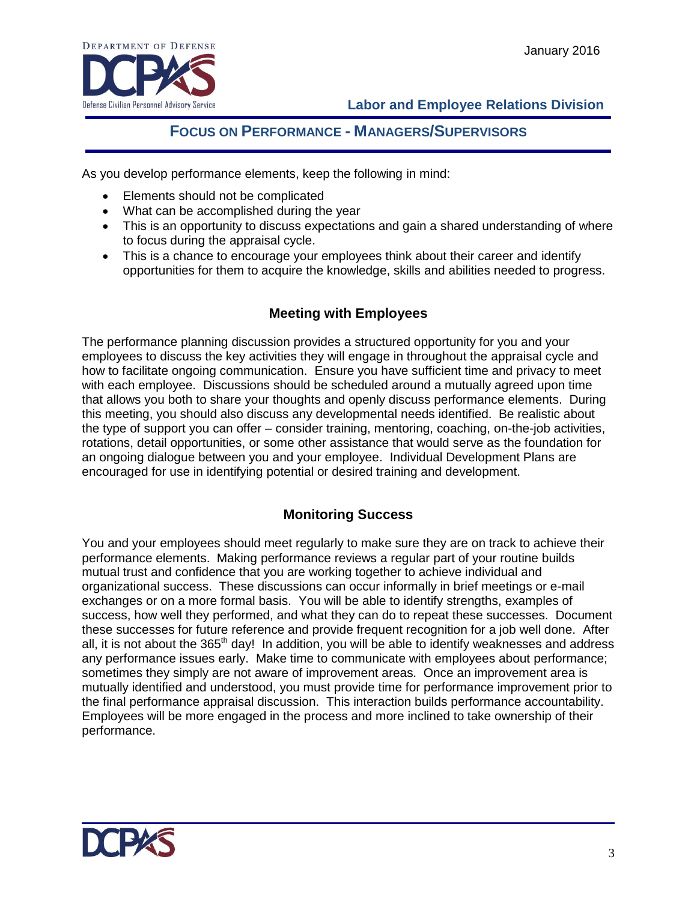

# **FOCUS ON PERFORMANCE - MANAGERS/SUPERVISORS**

As you develop performance elements, keep the following in mind:

- Elements should not be complicated
- What can be accomplished during the year
- This is an opportunity to discuss expectations and gain a shared understanding of where to focus during the appraisal cycle.
- This is a chance to encourage your employees think about their career and identify opportunities for them to acquire the knowledge, skills and abilities needed to progress.

### **Meeting with Employees**

The performance planning discussion provides a structured opportunity for you and your employees to discuss the key activities they will engage in throughout the appraisal cycle and how to facilitate ongoing communication. Ensure you have sufficient time and privacy to meet with each employee. Discussions should be scheduled around a mutually agreed upon time that allows you both to share your thoughts and openly discuss performance elements. During this meeting, you should also discuss any developmental needs identified. Be realistic about the type of support you can offer – consider training, mentoring, coaching, on-the-job activities, rotations, detail opportunities, or some other assistance that would serve as the foundation for an ongoing dialogue between you and your employee. Individual Development Plans are encouraged for use in identifying potential or desired training and development.

#### **Monitoring Success**

You and your employees should meet regularly to make sure they are on track to achieve their performance elements. Making performance reviews a regular part of your routine builds mutual trust and confidence that you are working together to achieve individual and organizational success. These discussions can occur informally in brief meetings or e-mail exchanges or on a more formal basis. You will be able to identify strengths, examples of success, how well they performed, and what they can do to repeat these successes. Document these successes for future reference and provide frequent recognition for a job well done. After all, it is not about the  $365<sup>th</sup>$  day! In addition, you will be able to identify weaknesses and address any performance issues early. Make time to communicate with employees about performance; sometimes they simply are not aware of improvement areas. Once an improvement area is mutually identified and understood, you must provide time for performance improvement prior to the final performance appraisal discussion. This interaction builds performance accountability. Employees will be more engaged in the process and more inclined to take ownership of their performance.